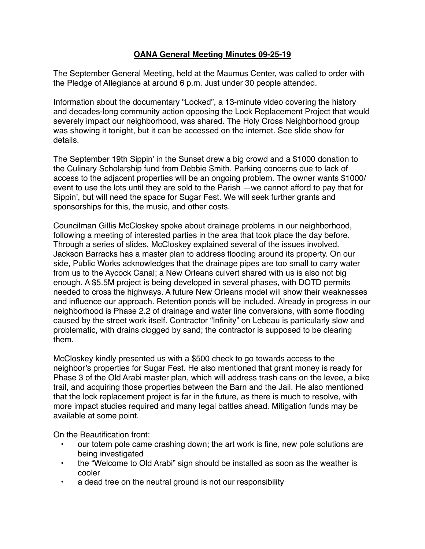## **OANA General Meeting Minutes 09-25-19**

The September General Meeting, held at the Maumus Center, was called to order with the Pledge of Allegiance at around 6 p.m. Just under 30 people attended.

Information about the documentary "Locked", a 13-minute video covering the history and decades-long community action opposing the Lock Replacement Project that would severely impact our neighborhood, was shared. The Holy Cross Neighborhood group was showing it tonight, but it can be accessed on the internet. See slide show for details.

The September 19th Sippin' in the Sunset drew a big crowd and a \$1000 donation to the Culinary Scholarship fund from Debbie Smith. Parking concerns due to lack of access to the adjacent properties will be an ongoing problem. The owner wants \$1000/ event to use the lots until they are sold to the Parish —we cannot afford to pay that for Sippin', but will need the space for Sugar Fest. We will seek further grants and sponsorships for this, the music, and other costs.

Councilman Gillis McCloskey spoke about drainage problems in our neighborhood, following a meeting of interested parties in the area that took place the day before. Through a series of slides, McCloskey explained several of the issues involved. Jackson Barracks has a master plan to address flooding around its property. On our side, Public Works acknowledges that the drainage pipes are too small to carry water from us to the Aycock Canal; a New Orleans culvert shared with us is also not big enough. A \$5.5M project is being developed in several phases, with DOTD permits needed to cross the highways. A future New Orleans model will show their weaknesses and influence our approach. Retention ponds will be included. Already in progress in our neighborhood is Phase 2.2 of drainage and water line conversions, with some flooding caused by the street work itself. Contractor "Infinity" on Lebeau is particularly slow and problematic, with drains clogged by sand; the contractor is supposed to be clearing them.

McCloskey kindly presented us with a \$500 check to go towards access to the neighbor's properties for Sugar Fest. He also mentioned that grant money is ready for Phase 3 of the Old Arabi master plan, which will address trash cans on the levee, a bike trail, and acquiring those properties between the Barn and the Jail. He also mentioned that the lock replacement project is far in the future, as there is much to resolve, with more impact studies required and many legal battles ahead. Mitigation funds may be available at some point.

On the Beautification front:

- our totem pole came crashing down; the art work is fine, new pole solutions are being investigated
- the "Welcome to Old Arabi" sign should be installed as soon as the weather is cooler
- a dead tree on the neutral ground is not our responsibility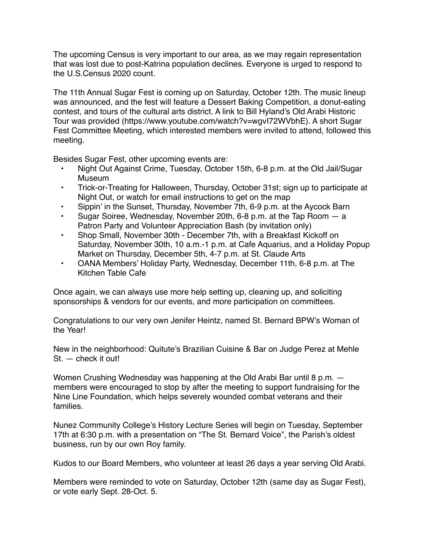The upcoming Census is very important to our area, as we may regain representation that was lost due to post-Katrina population declines. Everyone is urged to respond to the U.S.Census 2020 count.

The 11th Annual Sugar Fest is coming up on Saturday, October 12th. The music lineup was announced, and the fest will feature a Dessert Baking Competition, a donut-eating contest, and tours of the cultural arts district. A link to Bill Hyland's Old Arabi Historic Tour was provided (https://www.youtube.com/watch?v=wgvI72WVbhE). A short Sugar Fest Committee Meeting, which interested members were invited to attend, followed this meeting.

Besides Sugar Fest, other upcoming events are:

- Night Out Against Crime, Tuesday, October 15th, 6-8 p.m. at the Old Jail/Sugar **Museum**
- Trick-or-Treating for Halloween, Thursday, October 31st; sign up to participate at Night Out, or watch for email instructions to get on the map
- Sippin' in the Sunset, Thursday, November 7th, 6-9 p.m. at the Aycock Barn
- Sugar Soiree, Wednesday, November 20th, 6-8 p.m. at the Tap Room a Patron Party and Volunteer Appreciation Bash (by invitation only)
- Shop Small, November 30th December 7th, with a Breakfast Kickoff on Saturday, November 30th, 10 a.m.-1 p.m. at Cafe Aquarius, and a Holiday Popup Market on Thursday, December 5th, 4-7 p.m. at St. Claude Arts
- OANA Members' Holiday Party, Wednesday, December 11th, 6-8 p.m. at The Kitchen Table Cafe

Once again, we can always use more help setting up, cleaning up, and soliciting sponsorships & vendors for our events, and more participation on committees.

Congratulations to our very own Jenifer Heintz, named St. Bernard BPW's Woman of the Year!

New in the neighborhood: Quitute's Brazilian Cuisine & Bar on Judge Perez at Mehle St. — check it out!

Women Crushing Wednesday was happening at the Old Arabi Bar until 8 p.m. members were encouraged to stop by after the meeting to support fundraising for the Nine Line Foundation, which helps severely wounded combat veterans and their families.

Nunez Community College's History Lecture Series will begin on Tuesday, September 17th at 6:30 p.m. with a presentation on "The St. Bernard Voice", the Parish's oldest business, run by our own Roy family.

Kudos to our Board Members, who volunteer at least 26 days a year serving Old Arabi.

Members were reminded to vote on Saturday, October 12th (same day as Sugar Fest), or vote early Sept. 28-Oct. 5.